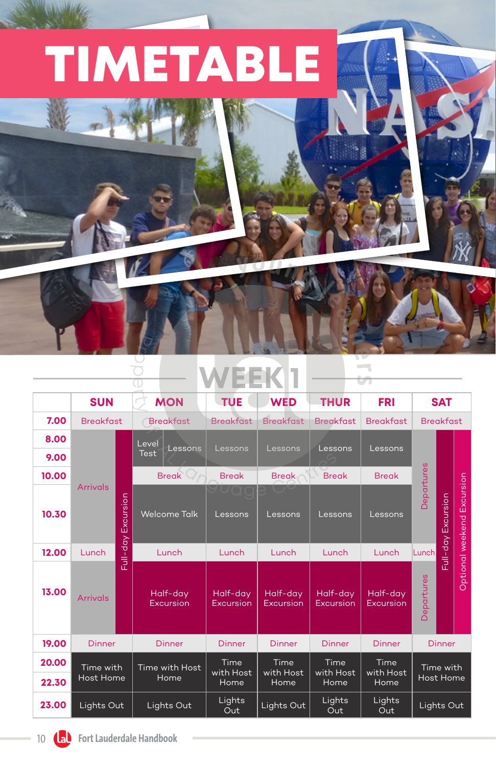

**Pro**  $\overline{O}$  $\overline{\mathbb{O}}$ 

## **WEEK 1**

|       | <b>SUN</b>             |           | <b>MON</b>             | <b>TUE</b>                   | <b>WED</b>                   | <b>THUR</b>                  | <b>FRI</b>                | <b>SAT</b>                    |           |                            |  |  |  |  |  |
|-------|------------------------|-----------|------------------------|------------------------------|------------------------------|------------------------------|---------------------------|-------------------------------|-----------|----------------------------|--|--|--|--|--|
| 7.00  | <b>Breakfast</b>       |           | <b>Breakfast</b>       | <b>Breakfast</b>             | <b>Breakfast</b>             | <b>Breakfast</b>             | <b>Breakfast</b>          | <b>Breakfast</b>              |           |                            |  |  |  |  |  |
| 8.00  | <b>Arrivals</b>        |           |                        |                              |                              |                              |                           | Level                         |           |                            |  |  |  |  |  |
| 9.00  |                        |           | Lessons<br><b>Test</b> | Lessons                      | Lessons                      | Lessons                      | Lessons                   |                               |           |                            |  |  |  |  |  |
| 10.00 |                        |           | <b>Break</b>           | <b>Break</b>                 | <b>Break</b>                 | <b>Break</b>                 | <b>Break</b>              |                               |           |                            |  |  |  |  |  |
| 10.30 |                        | Excursion | <b>Welcome Talk</b>    | Lessons                      | Lessons                      | Lessons                      | Lessons                   | Jepartures                    | Excursion | Optional weekend Excursion |  |  |  |  |  |
| 12.00 | Lunch                  | Full-day  | Lunch                  | Lunch                        | Lunch                        | Lunch                        | Lunch                     | Lunch                         | Full-day  |                            |  |  |  |  |  |
| 13.00 | <b>Arrivals</b>        |           | Half-day<br>Excursion  | Half-day<br><b>Excursion</b> | Half-day<br><b>Excursion</b> | Half-day<br><b>Excursion</b> | Half-day<br>Excursion     | Departures                    |           |                            |  |  |  |  |  |
| 19.00 | <b>Dinner</b>          |           | <b>Dinner</b>          | <b>Dinner</b>                | <b>Dinner</b>                | <b>Dinner</b>                | <b>Dinner</b>             | <b>Dinner</b>                 |           |                            |  |  |  |  |  |
| 20.00 | Time with<br>Host Home |           | Time with Host         | Time                         | Time<br>with Host<br>Home    | Time<br>with Host<br>Home    | Time<br>with Host<br>Home | Time with<br><b>Host Home</b> |           |                            |  |  |  |  |  |
| 22.30 |                        |           | Home                   | with Host<br>Home            |                              |                              |                           |                               |           |                            |  |  |  |  |  |
| 23.00 | Lights Out             |           | Lights Out             | Lights<br>Out                | Lights Out                   | Lights<br>Out                | Lights<br>Out             | Lights Out                    |           |                            |  |  |  |  |  |